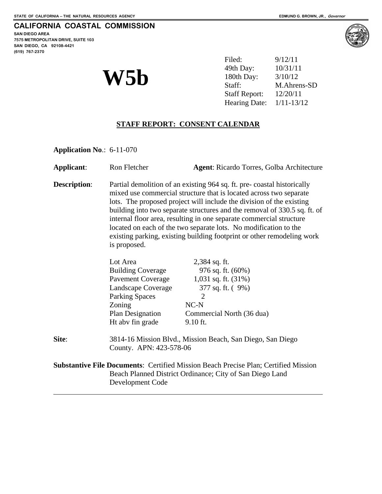**SAN DIEGO AREA 7575 METROPOLITAN DRIVE, SUITE 103 SAN DIEGO, CA 92108-4421 (619) 767-2370**



|     | Filed:                     | 9/12/11     |
|-----|----------------------------|-------------|
|     | 49th Day:                  | 10/31/11    |
| W5b | 180th Day:                 | 3/10/12     |
|     | Staff:                     | M.Ahrens-SD |
|     | <b>Staff Report:</b>       | 12/20/11    |
|     | Hearing Date: $1/11-13/12$ |             |

# **STAFF REPORT: CONSENT CALENDAR**

**Application No**.: 6-11-070

| Applicant:                                                                                 | Ron Fletcher                                                                                                                                                                                                                                                                                                                                                                                                                                                                                                                           | <b>Agent:</b> Ricardo Torres, Golba Architecture         |  |
|--------------------------------------------------------------------------------------------|----------------------------------------------------------------------------------------------------------------------------------------------------------------------------------------------------------------------------------------------------------------------------------------------------------------------------------------------------------------------------------------------------------------------------------------------------------------------------------------------------------------------------------------|----------------------------------------------------------|--|
| <b>Description:</b>                                                                        | Partial demolition of an existing 964 sq. ft. pre-coastal historically<br>mixed use commercial structure that is located across two separate<br>lots. The proposed project will include the division of the existing<br>building into two separate structures and the removal of 330.5 sq. ft. of<br>internal floor area, resulting in one separate commercial structure<br>located on each of the two separate lots. No modification to the<br>existing parking, existing building footprint or other remodeling work<br>is proposed. |                                                          |  |
|                                                                                            | Lot Area<br><b>Building Coverage</b>                                                                                                                                                                                                                                                                                                                                                                                                                                                                                                   | 2,384 sq. ft.<br>976 sq. ft. (60%)                       |  |
|                                                                                            | Pavement Coverage                                                                                                                                                                                                                                                                                                                                                                                                                                                                                                                      | 1,031 sq. ft. (31%)                                      |  |
|                                                                                            | Landscape Coverage                                                                                                                                                                                                                                                                                                                                                                                                                                                                                                                     | 377 sq. ft. (9%)                                         |  |
|                                                                                            | <b>Parking Spaces</b>                                                                                                                                                                                                                                                                                                                                                                                                                                                                                                                  | $\overline{2}$                                           |  |
|                                                                                            | Zoning                                                                                                                                                                                                                                                                                                                                                                                                                                                                                                                                 | $NC-N$                                                   |  |
|                                                                                            | Plan Designation                                                                                                                                                                                                                                                                                                                                                                                                                                                                                                                       | Commercial North (36 dua)                                |  |
|                                                                                            | Ht abv fin grade                                                                                                                                                                                                                                                                                                                                                                                                                                                                                                                       | 9.10 ft.                                                 |  |
| Site:                                                                                      | 3814-16 Mission Blvd., Mission Beach, San Diego, San Diego<br>County. APN: 423-578-06                                                                                                                                                                                                                                                                                                                                                                                                                                                  |                                                          |  |
| <b>Substantive File Documents:</b> Certified Mission Beach Precise Plan; Certified Mission |                                                                                                                                                                                                                                                                                                                                                                                                                                                                                                                                        |                                                          |  |
|                                                                                            | Development Code                                                                                                                                                                                                                                                                                                                                                                                                                                                                                                                       | Beach Planned District Ordinance; City of San Diego Land |  |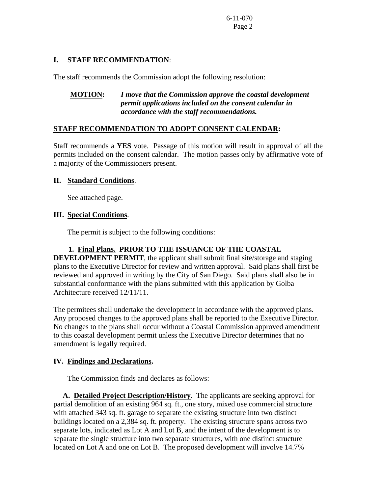#### **I. STAFF RECOMMENDATION**:

The staff recommends the Commission adopt the following resolution:

# **MOTION:** *I move that the Commission approve the coastal development permit applications included on the consent calendar in accordance with the staff recommendations.*

### **STAFF RECOMMENDATION TO ADOPT CONSENT CALENDAR:**

Staff recommends a **YES** vote. Passage of this motion will result in approval of all the permits included on the consent calendar. The motion passes only by affirmative vote of a majority of the Commissioners present.

### **II. Standard Conditions**.

See attached page.

### **III. Special Conditions**.

The permit is subject to the following conditions:

# **1. Final Plans. PRIOR TO THE ISSUANCE OF THE COASTAL**

**DEVELOPMENT PERMIT**, the applicant shall submit final site/storage and staging plans to the Executive Director for review and written approval. Said plans shall first be reviewed and approved in writing by the City of San Diego. Said plans shall also be in substantial conformance with the plans submitted with this application by Golba Architecture received 12/11/11.

The permitees shall undertake the development in accordance with the approved plans. Any proposed changes to the approved plans shall be reported to the Executive Director. No changes to the plans shall occur without a Coastal Commission approved amendment to this coastal development permit unless the Executive Director determines that no amendment is legally required.

#### **IV. Findings and Declarations.**

The Commission finds and declares as follows:

 **A. Detailed Project Description/History**. The applicants are seeking approval for partial demolition of an existing 964 sq. ft., one story, mixed use commercial structure with attached 343 sq. ft. garage to separate the existing structure into two distinct buildings located on a 2,384 sq. ft. property. The existing structure spans across two separate lots, indicated as Lot A and Lot B, and the intent of the development is to separate the single structure into two separate structures, with one distinct structure located on Lot A and one on Lot B. The proposed development will involve 14.7%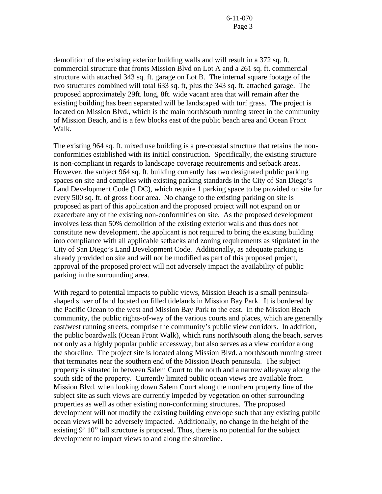demolition of the existing exterior building walls and will result in a 372 sq. ft. commercial structure that fronts Mission Blvd on Lot A and a 261 sq. ft. commercial structure with attached 343 sq. ft. garage on Lot B. The internal square footage of the two structures combined will total 633 sq. ft, plus the 343 sq. ft. attached garage. The proposed approximately 29ft. long, 8ft. wide vacant area that will remain after the existing building has been separated will be landscaped with turf grass. The project is located on Mission Blvd., which is the main north/south running street in the community of Mission Beach, and is a few blocks east of the public beach area and Ocean Front Walk.

The existing 964 sq. ft. mixed use building is a pre-coastal structure that retains the nonconformities established with its initial construction. Specifically, the existing structure is non-compliant in regards to landscape coverage requirements and setback areas. However, the subject 964 sq. ft. building currently has two designated public parking spaces on site and complies with existing parking standards in the City of San Diego's Land Development Code (LDC), which require 1 parking space to be provided on site for every 500 sq. ft. of gross floor area. No change to the existing parking on site is proposed as part of this application and the proposed project will not expand on or exacerbate any of the existing non-conformities on site. As the proposed development involves less than 50% demolition of the existing exterior walls and thus does not constitute new development, the applicant is not required to bring the existing building into compliance with all applicable setbacks and zoning requirements as stipulated in the City of San Diego's Land Development Code. Additionally, as adequate parking is already provided on site and will not be modified as part of this proposed project, approval of the proposed project will not adversely impact the availability of public parking in the surrounding area.

With regard to potential impacts to public views, Mission Beach is a small peninsulashaped sliver of land located on filled tidelands in Mission Bay Park. It is bordered by the Pacific Ocean to the west and Mission Bay Park to the east. In the Mission Beach community, the public rights-of-way of the various courts and places, which are generally east/west running streets, comprise the community's public view corridors. In addition, the public boardwalk (Ocean Front Walk), which runs north/south along the beach, serves not only as a highly popular public accessway, but also serves as a view corridor along the shoreline. The project site is located along Mission Blvd. a north/south running street that terminates near the southern end of the Mission Beach peninsula. The subject property is situated in between Salem Court to the north and a narrow alleyway along the south side of the property. Currently limited public ocean views are available from Mission Blvd. when looking down Salem Court along the northern property line of the subject site as such views are currently impeded by vegetation on other surrounding properties as well as other existing non-conforming structures. The proposed development will not modify the existing building envelope such that any existing public ocean views will be adversely impacted. Additionally, no change in the height of the existing 9' 10" tall structure is proposed. Thus, there is no potential for the subject development to impact views to and along the shoreline.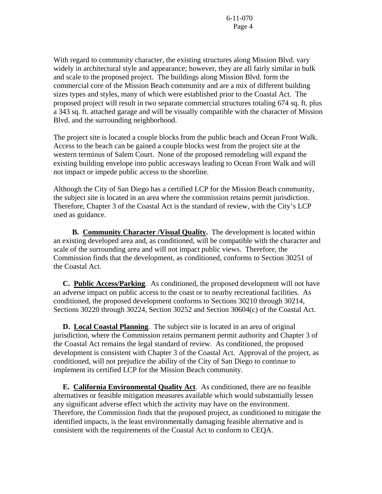With regard to community character, the existing structures along Mission Blvd. vary widely in architectural style and appearance; however, they are all fairly similar in bulk and scale to the proposed project. The buildings along Mission Blvd. form the commercial core of the Mission Beach community and are a mix of different building sizes types and styles, many of which were established prior to the Coastal Act. The proposed project will result in two separate commercial structures totaling 674 sq. ft. plus a 343 sq. ft. attached garage and will be visually compatible with the character of Mission Blvd. and the surrounding neighborhood.

The project site is located a couple blocks from the public beach and Ocean Front Walk. Access to the beach can be gained a couple blocks west from the project site at the western terminus of Salem Court. None of the proposed remodeling will expand the existing building envelope into public accesways leading to Ocean Front Walk and will not impact or impede public access to the shoreline.

Although the City of San Diego has a certified LCP for the Mission Beach community, the subject site is located in an area where the commission retains permit jurisdiction. Therefore, Chapter 3 of the Coastal Act is the standard of review, with the City's LCP used as guidance.

 **B. Community Character /Visual Quality.** The development is located within an existing developed area and, as conditioned, will be compatible with the character and scale of the surrounding area and will not impact public views. Therefore, the Commission finds that the development, as conditioned, conforms to Section 30251 of the Coastal Act.

 **C. Public Access/Parking**. As conditioned, the proposed development will not have an adverse impact on public access to the coast or to nearby recreational facilities. As conditioned, the proposed development conforms to Sections 30210 through 30214, Sections 30220 through 30224, Section 30252 and Section 30604(c) of the Coastal Act.

 **D. Local Coastal Planning**. The subject site is located in an area of original jurisdiction, where the Commission retains permanent permit authority and Chapter 3 of the Coastal Act remains the legal standard of review. As conditioned, the proposed development is consistent with Chapter 3 of the Coastal Act. Approval of the project, as conditioned, will not prejudice the ability of the City of San Diego to continue to implement its certified LCP for the Mission Beach community.

 **E. California Environmental Quality Act**. As conditioned, there are no feasible alternatives or feasible mitigation measures available which would substantially lessen any significant adverse effect which the activity may have on the environment. Therefore, the Commission finds that the proposed project, as conditioned to mitigate the identified impacts, is the least environmentally damaging feasible alternative and is consistent with the requirements of the Coastal Act to conform to CEQA.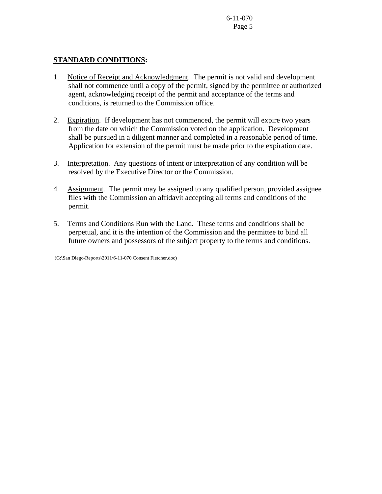### **STANDARD CONDITIONS:**

- 1. Notice of Receipt and Acknowledgment. The permit is not valid and development shall not commence until a copy of the permit, signed by the permittee or authorized agent, acknowledging receipt of the permit and acceptance of the terms and conditions, is returned to the Commission office.
- 2. Expiration. If development has not commenced, the permit will expire two years from the date on which the Commission voted on the application. Development shall be pursued in a diligent manner and completed in a reasonable period of time. Application for extension of the permit must be made prior to the expiration date.
- 3. Interpretation. Any questions of intent or interpretation of any condition will be resolved by the Executive Director or the Commission.
- 4. Assignment. The permit may be assigned to any qualified person, provided assignee files with the Commission an affidavit accepting all terms and conditions of the permit.
- 5. Terms and Conditions Run with the Land. These terms and conditions shall be perpetual, and it is the intention of the Commission and the permittee to bind all future owners and possessors of the subject property to the terms and conditions.

(G:\San Diego\Reports\2011\6-11-070 Consent Fletcher.doc)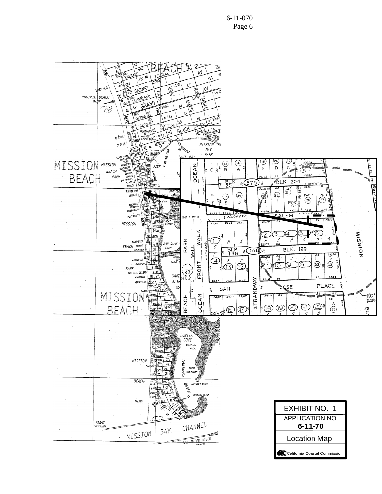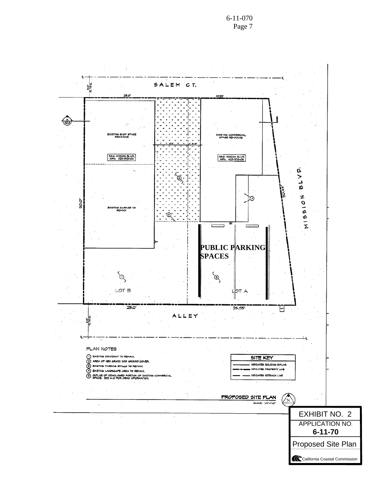